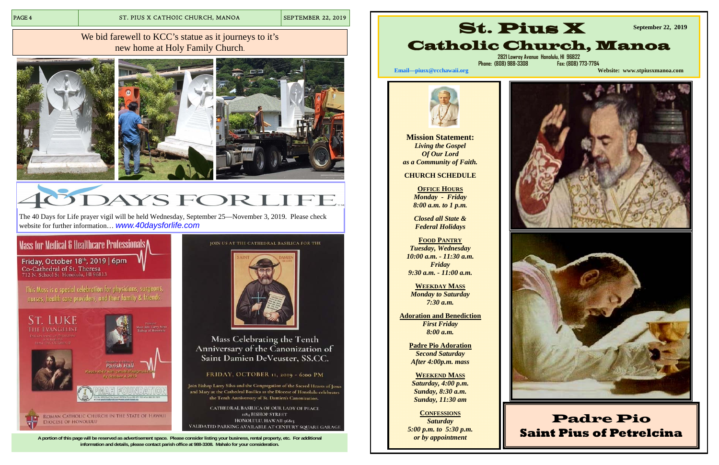**A portion of this page will be reserved as advertisement space. Please consider listing your business, rental property, etc. For additional information and details, please contact parish office at 988-3308. Mahalo for your consideration.** 

#### We bid farewell to KCC's statue as it journeys to it's new home at Holy Family Church.







# YSFORLI

**OFFICE HOURS** *Monday - Friday 8:00 a.m. to 1 p.m.* 

The 40 Days for Life prayer vigil will be held Wednesday, September 25—November 3, 2019. Please check website for further information… *www.40daysforlife.com*

### Mass for Medical & Healthcare Professionals

Friday, October 18<sup>th</sup>, 2019 | 6pm<br>Co-Cathedral of St. Theresa 712 N. School St. Honolulu, HI 96813

This Mass is a special celebration for physicians, surgeons, nurses, health care providers, and their family & friends.



JOIN US AT THE CATHEDRAL BASILICA FOR THE



Mass Celebrating the Tenth Anniversary of the Canonization of Saint Damien DeVeuster, SS.CC.

FRIDAY, OCTOBER 11, 2019 - 6:00 PM

Join Bishop Larry Silva and the Congregation of the Sacred Hearts of Jesus and Mary at the Cathedral Basilica as the Diocese of Honolulu celebrates the Tenth Anniversary of St. Damien's Canonization.

CATHEDRAL BASILICA OF OUR LADY OF PEACE 1184 BISHOP STREET HONOLULU, HAWAII 96813 VALIDATED PARKING AVAILABLE AT CENTURY SQUARE GARAGE

**Mission Statement:**  *Living the Gospel Of Our Lord as a Community of Faith.* 

#### **CHURCH SCHEDULE**

*Closed all State & Federal Holidays* 

**FOOD PANTRY***Tuesday, Wednesday 10:00 a.m. - 11:30 a.m. Friday 9:30 a.m. - 11:00 a.m.*

**WEEKDAY MASS** *Monday to Saturday 7:30 a.m.* 

**Adoration and Benediction**  *First Friday 8:00 a.m.* 

> **Padre Pio Adoration**  *Second Saturday After 4:00p.m. mass*

**WEEKEND MASS** *Saturday, 4:00 p.m. Sunday, 8:30 a.m. Sunday, 11:30 am* 

#### **CONFESSIONS**

*Saturday 5:00 p.m. to 5:30 p.m. or by appointment* 

# St. Pius X



**Email—piusx@rcchawaii.org Website: www.stpiusxmanoa.com**



## Padre Pio **Saint Pius of Petrelcina**